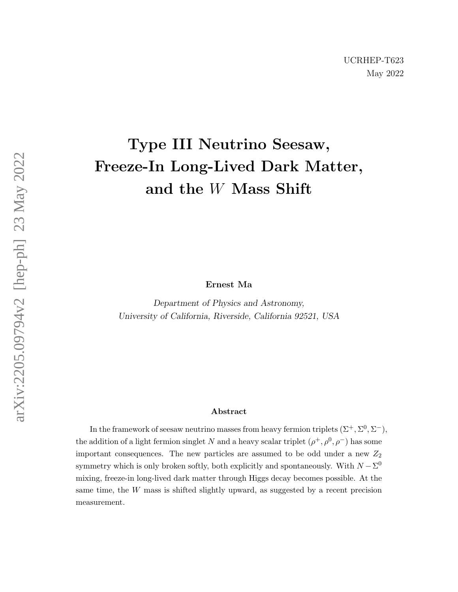## Type III Neutrino Seesaw, Freeze-In Long-Lived Dark Matter, and the W Mass Shift

Ernest Ma

Department of Physics and Astronomy, University of California, Riverside, California 92521, USA

## Abstract

In the framework of seesaw neutrino masses from heavy fermion triplets  $(\Sigma^+, \Sigma^0, \Sigma^-)$ , the addition of a light fermion singlet N and a heavy scalar triplet  $(\rho^+, \rho^0, \rho^-)$  has some important consequences. The new particles are assumed to be odd under a new  $Z_2$ symmetry which is only broken softly, both explicitly and spontaneously. With  $N - \Sigma^0$ mixing, freeze-in long-lived dark matter through Higgs decay becomes possible. At the same time, the W mass is shifted slightly upward, as suggested by a recent precision measurement.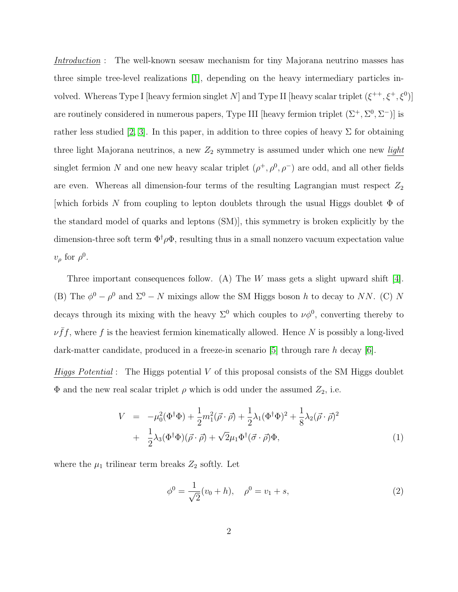Introduction : The well-known seesaw mechanism for tiny Majorana neutrino masses has three simple tree-level realizations [\[1\]](#page-5-0), depending on the heavy intermediary particles involved. Whereas Type I [heavy fermion singlet N] and Type II [heavy scalar triplet  $(\xi^{++}, \xi^+, \xi^0)$ ] are routinely considered in numerous papers, Type III [heavy fermion triplet  $(\Sigma^+, \Sigma^0, \Sigma^-)$ ] is rather less studied [\[2,](#page-5-1) [3\]](#page-5-2). In this paper, in addition to three copies of heavy  $\Sigma$  for obtaining three light Majorana neutrinos, a new  $Z_2$  symmetry is assumed under which one new *light* singlet fermion N and one new heavy scalar triplet  $(\rho^+, \rho^0, \rho^-)$  are odd, and all other fields are even. Whereas all dimension-four terms of the resulting Lagrangian must respect  $Z_2$ which forbids N from coupling to lepton doublets through the usual Higgs doublet  $\Phi$  of the standard model of quarks and leptons (SM)], this symmetry is broken explicitly by the dimension-three soft term  $\Phi^{\dagger} \rho \Phi$ , resulting thus in a small nonzero vacuum expectation value  $v_{\rho}$  for  $\rho^{0}$ .

Three important consequences follow. (A) The W mass gets a slight upward shift [\[4\]](#page-5-3). (B) The  $\phi^0 - \rho^0$  and  $\Sigma^0 - N$  mixings allow the SM Higgs boson h to decay to NN. (C) N decays through its mixing with the heavy  $\Sigma^0$  which couples to  $\nu\phi^0$ , converting thereby to  $\nu \bar{f}f$ , where f is the heaviest fermion kinematically allowed. Hence N is possibly a long-lived dark-matter candidate, produced in a freeze-in scenario [\[5\]](#page-5-4) through rare h decay  $[6]$ .

*Higgs Potential* : The Higgs potential  $V$  of this proposal consists of the SM Higgs doublet  $\Phi$  and the new real scalar triplet  $\rho$  which is odd under the assumed  $Z_2$ , i.e.

$$
V = -\mu_0^2(\Phi^\dagger \Phi) + \frac{1}{2}m_1^2(\vec{\rho} \cdot \vec{\rho}) + \frac{1}{2}\lambda_1(\Phi^\dagger \Phi)^2 + \frac{1}{8}\lambda_2(\vec{\rho} \cdot \vec{\rho})^2
$$
  
+ 
$$
\frac{1}{2}\lambda_3(\Phi^\dagger \Phi)(\vec{\rho} \cdot \vec{\rho}) + \sqrt{2}\mu_1\Phi^\dagger(\vec{\sigma} \cdot \vec{\rho})\Phi,
$$
 (1)

where the  $\mu_1$  trilinear term breaks  $Z_2$  softly. Let

$$
\phi^0 = \frac{1}{\sqrt{2}}(v_0 + h), \quad \rho^0 = v_1 + s,\tag{2}
$$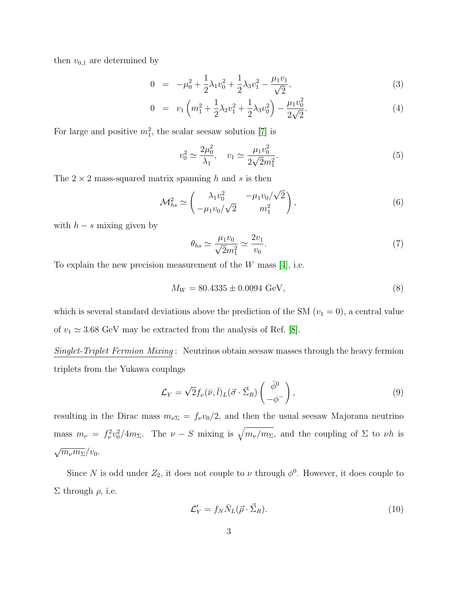then  $v_{0,1}$  are determined by

$$
0 = -\mu_0^2 + \frac{1}{2}\lambda_1 v_0^2 + \frac{1}{2}\lambda_3 v_1^2 - \frac{\mu_1 v_1}{\sqrt{2}},
$$
\n(3)

$$
0 = v_1 \left( m_1^2 + \frac{1}{2} \lambda_2 v_1^2 + \frac{1}{2} \lambda_3 v_0^2 \right) - \frac{\mu_1 v_0^2}{2 \sqrt{2}}.
$$
 (4)

For large and positive  $m_1^2$ , the scalar seesaw solution [\[7\]](#page-5-6) is

$$
v_0^2 \simeq \frac{2\mu_0^2}{\lambda_1}, \quad v_1 \simeq \frac{\mu_1 v_0^2}{2\sqrt{2}m_1^2}.\tag{5}
$$

The  $2 \times 2$  mass-squared matrix spanning h and s is then

$$
\mathcal{M}_{hs}^2 \simeq \begin{pmatrix} \lambda_1 v_0^2 & -\mu_1 v_0 / \sqrt{2} \\ -\mu_1 v_0 / \sqrt{2} & m_1^2 \end{pmatrix},
$$
 (6)

with  $h - s$  mixing given by

$$
\theta_{hs} \simeq \frac{\mu_1 v_0}{\sqrt{2}m_1^2} \simeq \frac{2v_1}{v_0}.\tag{7}
$$

To explain the new precision measurement of the  $W$  mass [\[4\]](#page-5-3), i.e.

$$
M_W = 80.4335 \pm 0.0094 \text{ GeV},\tag{8}
$$

which is several standard deviations above the prediction of the SM  $(v_1 = 0)$ , a central value of  $v_1 \approx 3.68$  GeV may be extracted from the analysis of Ref. [\[8\]](#page-5-7).

Singlet-Triplet Fermion Mixing : Neutrinos obtain seesaw masses through the heavy fermion triplets from the Yukawa couplngs

$$
\mathcal{L}_Y = \sqrt{2} f_\nu(\bar{\nu}, \bar{l})_L(\vec{\sigma} \cdot \vec{\Sigma}_R) \begin{pmatrix} \bar{\phi}^0 \\ -\phi^- \end{pmatrix}, \tag{9}
$$

resulting in the Dirac mass  $m_{\nu\Sigma} = f_{\nu}v_0/2$ , and then the usual seesaw Majorana neutrino mass  $m_{\nu} = f_{\nu}^2 v_0^2 / 4m_{\Sigma}$ . The  $\nu - S$  mixing is  $\sqrt{m_{\nu}/m_{\Sigma}}$ , and the coupling of  $\Sigma$  to  $\nu h$  is  $\sqrt{m_{\nu}m_{\Sigma}}/v_0.$ 

Since N is odd under  $Z_2$ , it does not couple to  $\nu$  through  $\phi^0$ . However, it does couple to  $\Sigma$  through  $ρ$ , i.e.

$$
\mathcal{L}'_Y = f_N \bar{N}_L(\vec{\rho} \cdot \vec{\Sigma}_R). \tag{10}
$$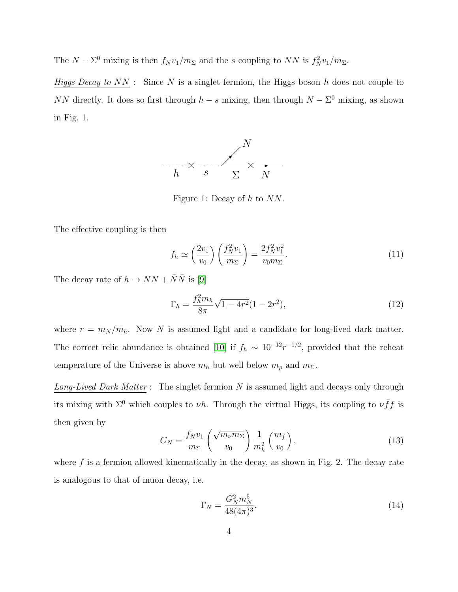The  $N - \Sigma^0$  mixing is then  $f_N v_1/m_\Sigma$  and the s coupling to NN is  $f_N^2 v_1/m_\Sigma$ .

Higgs Decay to  $NN$ : Since N is a singlet fermion, the Higgs boson h does not couple to NN directly. It does so first through  $h - s$  mixing, then through  $N - \Sigma^0$  mixing, as shown in Fig. 1.



Figure 1: Decay of h to NN.

The effective coupling is then

$$
f_h \simeq \left(\frac{2v_1}{v_0}\right) \left(\frac{f_N^2 v_1}{m_\Sigma}\right) = \frac{2f_N^2 v_1^2}{v_0 m_\Sigma}.
$$
 (11)

The decay rate of  $h \to NN + \overline{N}\overline{N}$  is [\[9\]](#page-5-8)

$$
\Gamma_h = \frac{f_h^2 m_h}{8\pi} \sqrt{1 - 4r^2} (1 - 2r^2),\tag{12}
$$

where  $r = m_N / m_h$ . Now N is assumed light and a candidate for long-lived dark matter. The correct relic abundance is obtained [\[10\]](#page-5-9) if  $f_h \sim 10^{-12} r^{-1/2}$ , provided that the reheat temperature of the Universe is above  $m_h$  but well below  $m_\rho$  and  $m_\Sigma$ .

Long-Lived Dark Matter: The singlet fermion  $N$  is assumed light and decays only through its mixing with  $\Sigma^0$  which couples to  $\nu h$ . Through the virtual Higgs, its coupling to  $\nu \bar{f} f$  is then given by

$$
G_N = \frac{f_N v_1}{m_\Sigma} \left(\frac{\sqrt{m_\nu m_\Sigma}}{v_0}\right) \frac{1}{m_h^2} \left(\frac{m_f}{v_0}\right),\tag{13}
$$

where  $f$  is a fermion allowed kinematically in the decay, as shown in Fig. 2. The decay rate is analogous to that of muon decay, i.e.

$$
\Gamma_N = \frac{G_N^2 m_N^5}{48(4\pi)^3}.
$$
\n(14)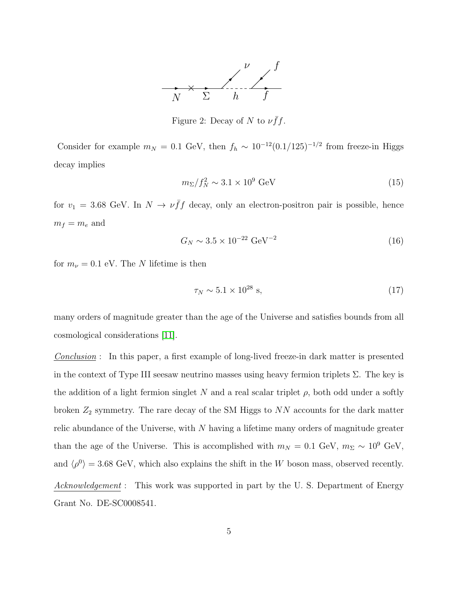

Figure 2: Decay of N to  $\nu \bar{f}f$ .

Consider for example  $m_N = 0.1$  GeV, then  $f_h \sim 10^{-12} (0.1/125)^{-1/2}$  from freeze-in Higgs decay implies

$$
m_{\Sigma}/f_N^2 \sim 3.1 \times 10^9 \text{ GeV}
$$
 (15)

for  $v_1 = 3.68$  GeV. In  $N \to \nu \bar{f} f$  decay, only an electron-positron pair is possible, hence  $m_f = m_e$  and

$$
G_N \sim 3.5 \times 10^{-22} \text{ GeV}^{-2}
$$
 (16)

for  $m_{\nu} = 0.1$  eV. The N lifetime is then

$$
\tau_N \sim 5.1 \times 10^{28} \text{ s},\tag{17}
$$

many orders of magnitude greater than the age of the Universe and satisfies bounds from all cosmological considerations [\[11\]](#page-5-10).

Conclusion : In this paper, a first example of long-lived freeze-in dark matter is presented in the context of Type III seesaw neutrino masses using heavy fermion triplets  $\Sigma$ . The key is the addition of a light fermion singlet N and a real scalar triplet  $\rho$ , both odd under a softly broken  $Z_2$  symmetry. The rare decay of the SM Higgs to NN accounts for the dark matter relic abundance of the Universe, with N having a lifetime many orders of magnitude greater than the age of the Universe. This is accomplished with  $m_N = 0.1$  GeV,  $m_\Sigma \sim 10^9$  GeV, and  $\langle \rho^0 \rangle = 3.68$  GeV, which also explains the shift in the W boson mass, observed recently. Acknowledgement : This work was supported in part by the U.S. Department of Energy Grant No. DE-SC0008541.